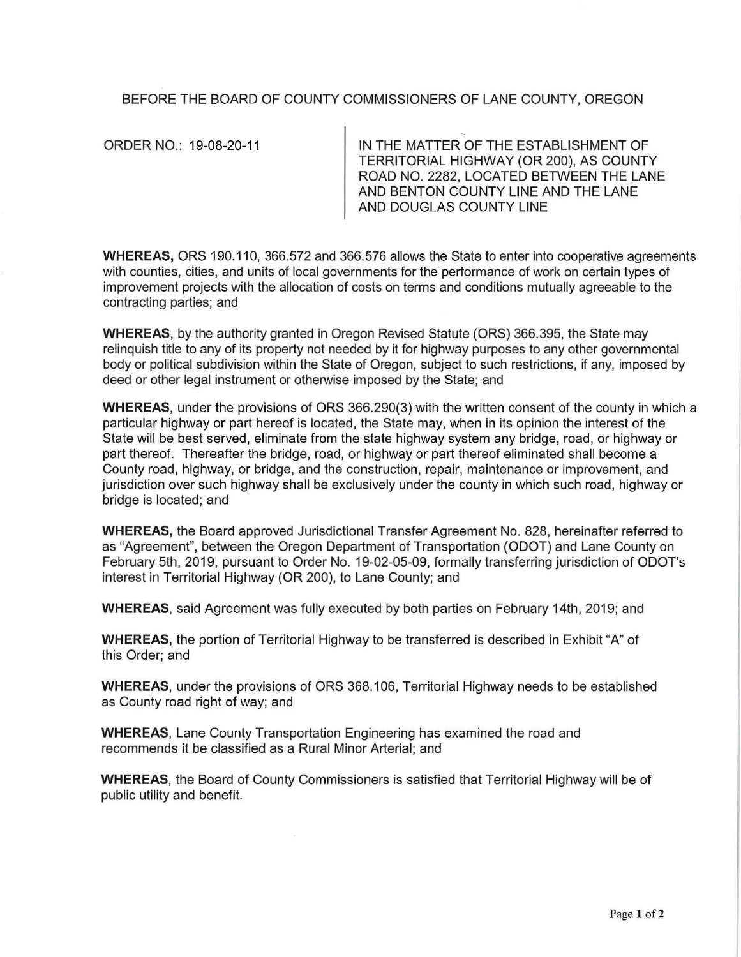## BEFORE THE BOARD OF COUNTY COMMISSIONERS OF LANE COUNTY, OREGON

ORDER NO.: 19-08-20-11

IN THE MATTER OF THE ESTABLISHMENT OF TERRITORIAL HIGHWAY (OR 200), AS COUNTY ROAD NO. 2282, LOCATED BETWEEN THE LANE AND BENTON COUNTY LINE AND THE LANE AND DOUGLAS COUNTY LINE

**WHEREAS,** ORS 190.110, 366.572 and 366.576 allows the State to enter into cooperative agreements with counties, cities, and units of local governments for the performance of work on certain types of improvement projects with the allocation of costs on terms and conditions mutually agreeable to the contracting parties; and

**WHEREAS,** by the authority granted in Oregon Revised Statute (ORS) 366.395, the State may relinquish title to any of its property not needed by it for highway purposes to any other governmental body or political subdivision within the State of Oregon, subject to such restrictions, if any, imposed by deed or other legal instrument or otherwise imposed by the State; and

**WHEREAS,** under the provisions of ORS 366.290(3) with the written consent of the county in which a particular highway or part hereof is located, the State may, when in its opinion the interest of the State will be best served, eliminate from the state highway system any bridge, road, or highway or part thereof. Thereafter the bridge, road, or highway or part thereof eliminated shall become a County road, highway, or bridge, and the construction, repair, maintenance or improvement, and jurisdiction over such highway shall be exclusively under the county in which such road, highway or bridge is located; and

**WHEREAS,** the Board approved Jurisdictional Transfer Agreement No. 828, hereinafter referred to as "Agreement", between the Oregon Department of Transportation (ODOT) and Lane County on February 5th, 2019, pursuant to Order No. 19-02-05-09, formally transferring jurisdiction of ODOT's interest in Territorial Highway (OR 200), to Lane County; and

**WHEREAS,** said Agreement was fully executed by both parties on February 14th, 2019; and

**WHEREAS,** the portion of Territorial Highway to be transferred is described in Exhibit "A" of this Order; and

**WHEREAS,** under the provisions of ORS 368.106, Territorial Highway needs to be established as County road right of way; and

**WHEREAS,** Lane County Transportation Engineering has examined the road and recommends it be classified as a Rural Minor Arterial; and

**WHEREAS,** the Board of County Commissioners is satisfied that Territorial Highway will be of public utility and benefit.